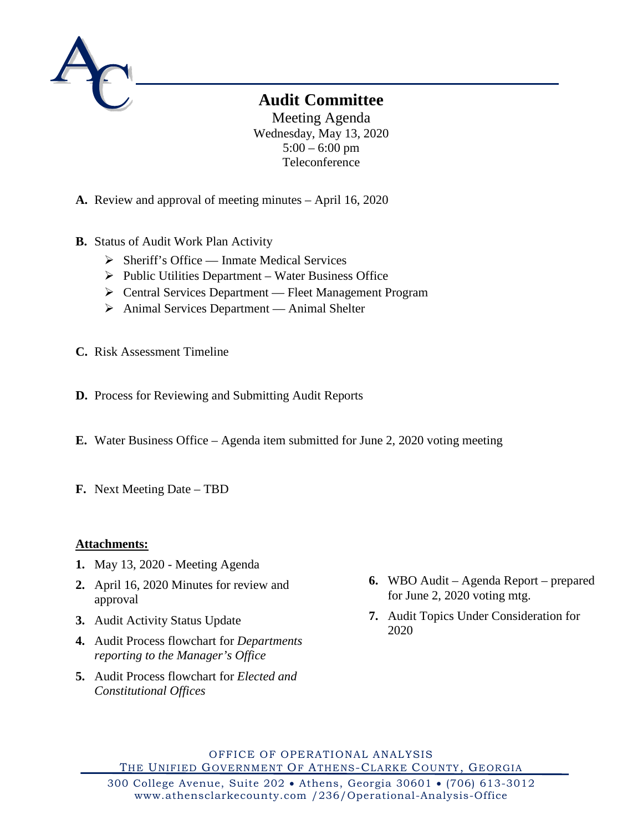

# **Audit Committee**

Meeting Agenda Wednesday, May 13, 2020  $5:00 - 6:00$  pm Teleconference

- **A.** Review and approval of meeting minutes April 16, 2020
- **B.** Status of Audit Work Plan Activity
	- $\triangleright$  Sheriff's Office Inmate Medical Services
	- $\triangleright$  Public Utilities Department Water Business Office
	- Central Services Department Fleet Management Program
	- ▶ Animal Services Department Animal Shelter
- **C.** Risk Assessment Timeline
- **D.** Process for Reviewing and Submitting Audit Reports
- **E.** Water Business Office Agenda item submitted for June 2, 2020 voting meeting
- **F.** Next Meeting Date TBD

# **Attachments:**

- **1.** May 13, 2020 Meeting Agenda
- **2.** April 16, 2020 Minutes for review and approval
- **3.** Audit Activity Status Update
- **4.** Audit Process flowchart for *Departments reporting to the Manager's Office*
- **5.** Audit Process flowchart for *Elected and Constitutional Offices*
- **6.** WBO Audit Agenda Report prepared for June 2, 2020 voting mtg.
- **7.** Audit Topics Under Consideration for 2020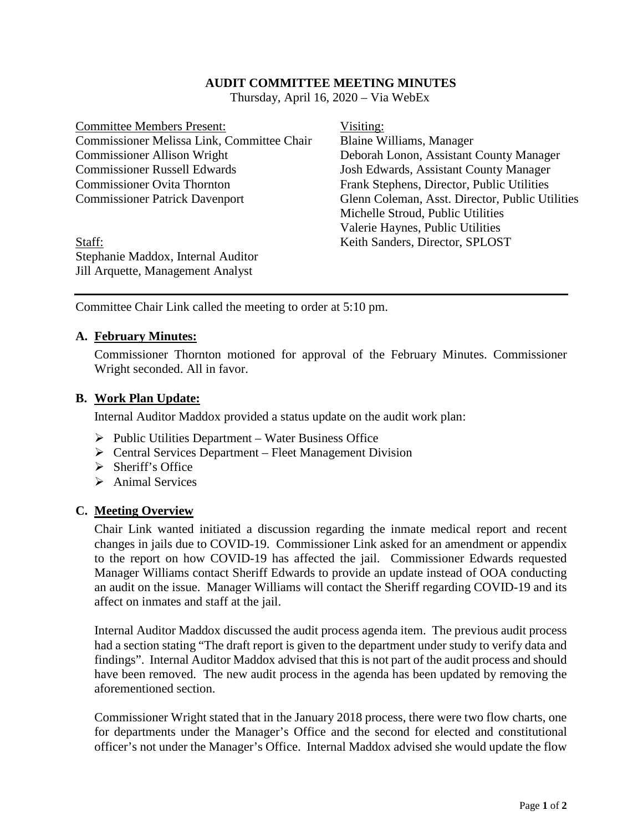## **AUDIT COMMITTEE MEETING MINUTES**

Thursday, April 16, 2020 – Via WebEx

Committee Members Present: Visiting: Commissioner Melissa Link, Committee Chair Blaine Williams, Manager Commissioner Allison Wright Deborah Lonon, Assistant County Manager Commissioner Russell Edwards Josh Edwards, Assistant County Manager Commissioner Ovita Thornton Frank Stephens, Director, Public Utilities

Commissioner Patrick Davenport Glenn Coleman, Asst. Director, Public Utilities Michelle Stroud, Public Utilities Valerie Haynes, Public Utilities

Staff: Keith Sanders, Director, SPLOST Stephanie Maddox, Internal Auditor Jill Arquette, Management Analyst

Committee Chair Link called the meeting to order at 5:10 pm.

#### **A. February Minutes:**

Commissioner Thornton motioned for approval of the February Minutes. Commissioner Wright seconded. All in favor.

#### **B. Work Plan Update:**

Internal Auditor Maddox provided a status update on the audit work plan:

- $\triangleright$  Public Utilities Department Water Business Office
- $\triangleright$  Central Services Department Fleet Management Division
- $\triangleright$  Sheriff's Office
- $\triangleright$  Animal Services

#### **C. Meeting Overview**

Chair Link wanted initiated a discussion regarding the inmate medical report and recent changes in jails due to COVID-19. Commissioner Link asked for an amendment or appendix to the report on how COVID-19 has affected the jail. Commissioner Edwards requested Manager Williams contact Sheriff Edwards to provide an update instead of OOA conducting an audit on the issue. Manager Williams will contact the Sheriff regarding COVID-19 and its affect on inmates and staff at the jail.

Internal Auditor Maddox discussed the audit process agenda item. The previous audit process had a section stating "The draft report is given to the department under study to verify data and findings". Internal Auditor Maddox advised that this is not part of the audit process and should have been removed. The new audit process in the agenda has been updated by removing the aforementioned section.

Commissioner Wright stated that in the January 2018 process, there were two flow charts, one for departments under the Manager's Office and the second for elected and constitutional officer's not under the Manager's Office. Internal Maddox advised she would update the flow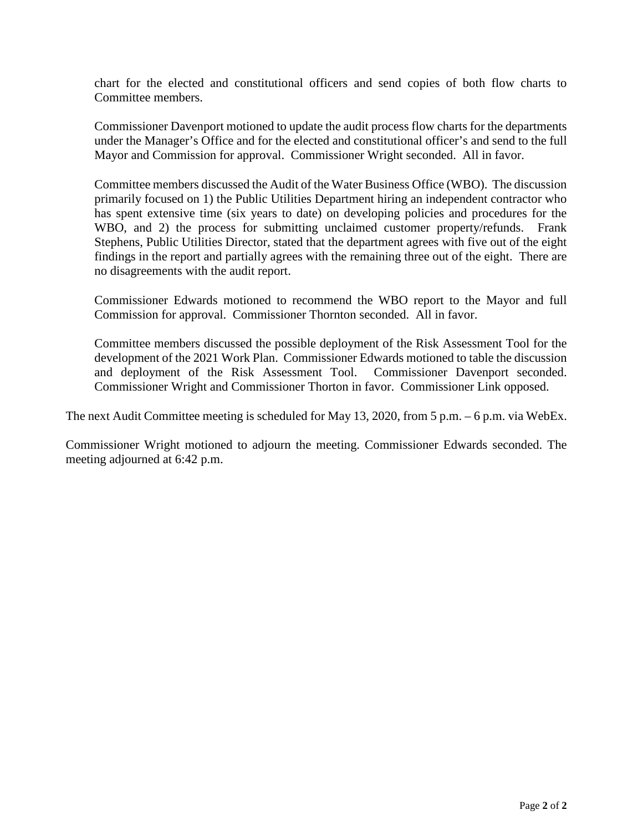chart for the elected and constitutional officers and send copies of both flow charts to Committee members.

Commissioner Davenport motioned to update the audit process flow charts for the departments under the Manager's Office and for the elected and constitutional officer's and send to the full Mayor and Commission for approval. Commissioner Wright seconded. All in favor.

Committee members discussed the Audit of the Water Business Office (WBO). The discussion primarily focused on 1) the Public Utilities Department hiring an independent contractor who has spent extensive time (six years to date) on developing policies and procedures for the WBO, and 2) the process for submitting unclaimed customer property/refunds. Frank Stephens, Public Utilities Director, stated that the department agrees with five out of the eight findings in the report and partially agrees with the remaining three out of the eight. There are no disagreements with the audit report.

Commissioner Edwards motioned to recommend the WBO report to the Mayor and full Commission for approval. Commissioner Thornton seconded. All in favor.

Committee members discussed the possible deployment of the Risk Assessment Tool for the development of the 2021 Work Plan. Commissioner Edwards motioned to table the discussion and deployment of the Risk Assessment Tool. Commissioner Davenport seconded. Commissioner Wright and Commissioner Thorton in favor. Commissioner Link opposed.

The next Audit Committee meeting is scheduled for May 13, 2020, from 5 p.m. – 6 p.m. via WebEx.

Commissioner Wright motioned to adjourn the meeting. Commissioner Edwards seconded. The meeting adjourned at 6:42 p.m.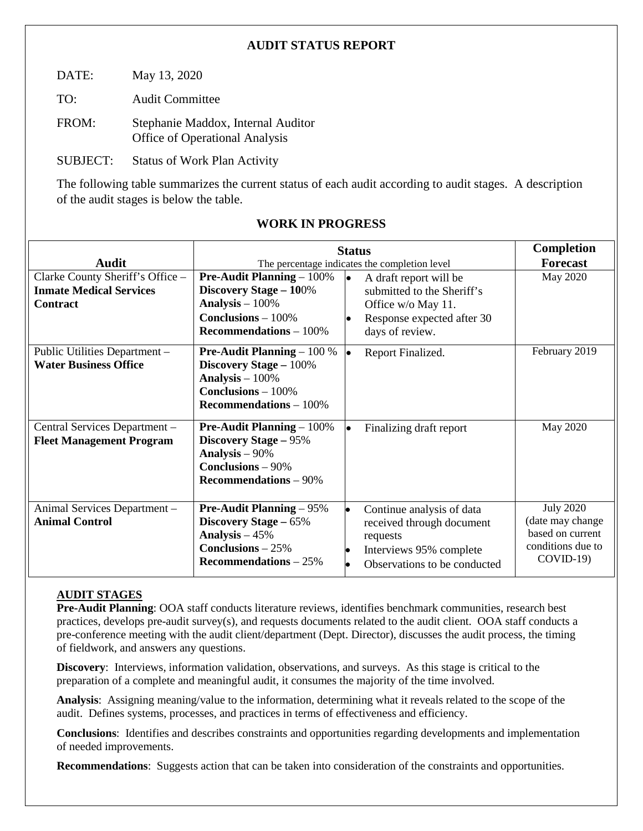# **AUDIT STATUS REPORT**

DATE: May 13, 2020

TO: Audit Committee

FROM: Stephanie Maddox, Internal Auditor Office of Operational Analysis

SUBJECT: Status of Work Plan Activity

The following table summarizes the current status of each audit according to audit stages. A description of the audit stages is below the table.

|                                                                                       | <b>Status</b>                                                                                                                                 |                                                                                                                                          | <b>Completion</b>                                                                           |
|---------------------------------------------------------------------------------------|-----------------------------------------------------------------------------------------------------------------------------------------------|------------------------------------------------------------------------------------------------------------------------------------------|---------------------------------------------------------------------------------------------|
| <b>Audit</b>                                                                          | The percentage indicates the completion level                                                                                                 |                                                                                                                                          | <b>Forecast</b>                                                                             |
| Clarke County Sheriff's Office -<br><b>Inmate Medical Services</b><br><b>Contract</b> | <b>Pre-Audit Planning</b> $-100\%$<br>Discovery Stage - 100%<br>Analysis $-100\%$<br><b>Conclusions</b> $-100\%$<br>Recommendations $-100\%$  | A draft report will be<br>lo.<br>submitted to the Sheriff's<br>Office w/o May 11.<br>Response expected after 30<br>lo<br>days of review. | May 2020                                                                                    |
| Public Utilities Department -<br><b>Water Business Office</b>                         | <b>Pre-Audit Planning</b> $-100\%$<br><b>Discovery Stage - 100%</b><br>Analysis $-100\%$<br>$Conclusions - 100%$<br>Recommendations $-100\%$  | Report Finalized.<br>le.                                                                                                                 | February 2019                                                                               |
| Central Services Department -<br><b>Fleet Management Program</b>                      | <b>Pre-Audit Planning</b> $-100\%$<br><b>Discovery Stage - 95%</b><br>Analysis $-90\%$<br><b>Conclusions - 90%</b><br>Recommendations $-90\%$ | Finalizing draft report<br>le.                                                                                                           | May 2020                                                                                    |
| Animal Services Department -<br><b>Animal Control</b>                                 | <b>Pre-Audit Planning – 95%</b><br>Discovery Stage - 65%<br>Analysis $-45%$<br>Conclusions $-25%$<br>Recommendations $-25%$                   | Continue analysis of data<br>I.<br>received through document<br>requests<br>Interviews 95% complete<br>Observations to be conducted      | <b>July 2020</b><br>(date may change<br>based on current<br>conditions due to<br>$COVID-19$ |

# **WORK IN PROGRESS**

## **AUDIT STAGES**

**Pre-Audit Planning**: OOA staff conducts literature reviews, identifies benchmark communities, research best practices, develops pre-audit survey(s), and requests documents related to the audit client. OOA staff conducts a pre-conference meeting with the audit client/department (Dept. Director), discusses the audit process, the timing of fieldwork, and answers any questions.

**Discovery**: Interviews, information validation, observations, and surveys. As this stage is critical to the preparation of a complete and meaningful audit, it consumes the majority of the time involved.

**Analysis**: Assigning meaning/value to the information, determining what it reveals related to the scope of the audit. Defines systems, processes, and practices in terms of effectiveness and efficiency.

**Conclusions**: Identifies and describes constraints and opportunities regarding developments and implementation of needed improvements.

**Recommendations**: Suggests action that can be taken into consideration of the constraints and opportunities.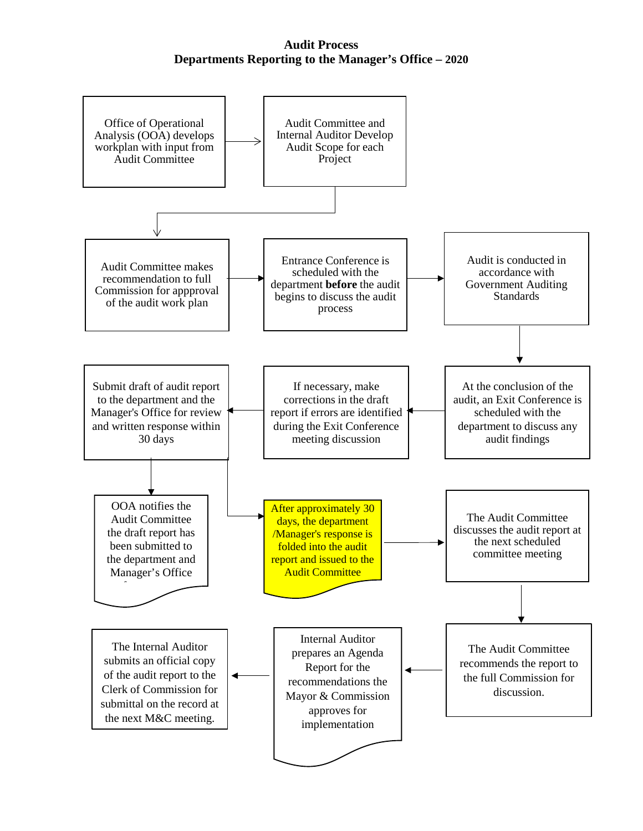## **Audit Process Departments Reporting to the Manager's Office – 2020**

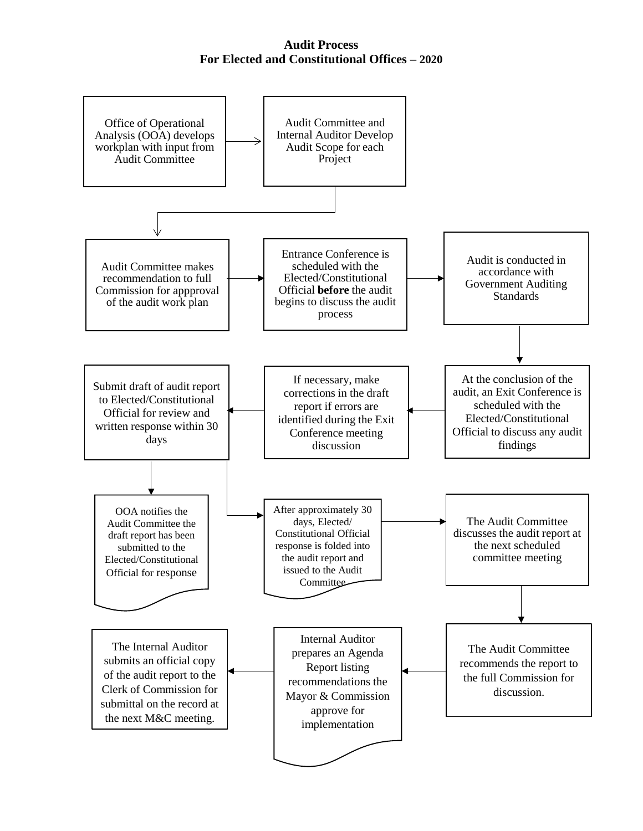## **Audit Process For Elected and Constitutional Offices – 2020**

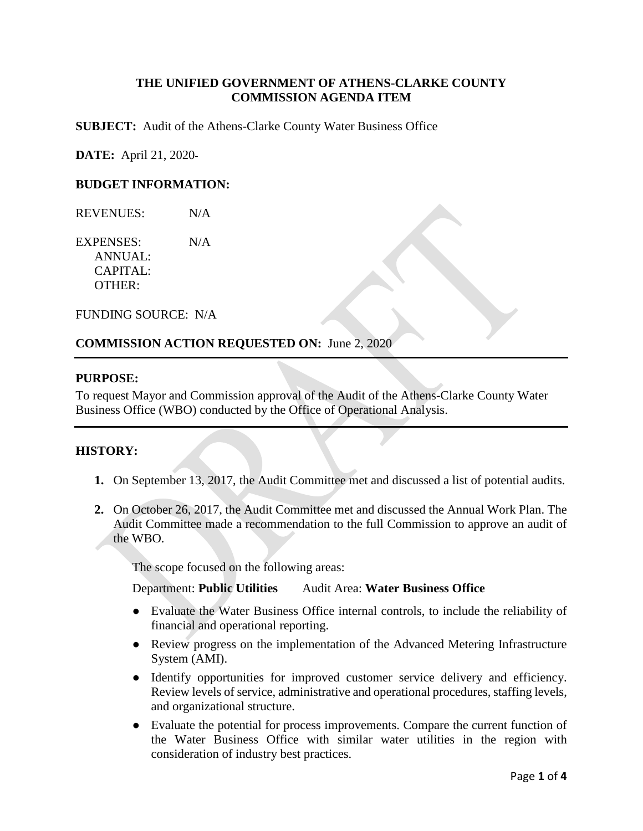## **THE UNIFIED GOVERNMENT OF ATHENS-CLARKE COUNTY COMMISSION AGENDA ITEM**

**SUBJECT:** Audit of the Athens-Clarke County Water Business Office

**DATE:** April 21, 2020

## **BUDGET INFORMATION:**

REVENUES: N/A

EXPENSES: N/A ANNUAL: CAPITAL: OTHER:

FUNDING SOURCE: N/A

#### **COMMISSION ACTION REQUESTED ON:** June 2, 2020

#### **PURPOSE:**

To request Mayor and Commission approval of the Audit of the Athens-Clarke County Water Business Office (WBO) conducted by the Office of Operational Analysis.

### **HISTORY:**

- **1.** On September 13, 2017, the Audit Committee met and discussed a list of potential audits.
- **2.** On October 26, 2017, the Audit Committee met and discussed the Annual Work Plan. The Audit Committee made a recommendation to the full Commission to approve an audit of the WBO.

The scope focused on the following areas:

Department: **Public Utilities** Audit Area: **Water Business Office**

- Evaluate the Water Business Office internal controls, to include the reliability of financial and operational reporting.
- Review progress on the implementation of the Advanced Metering Infrastructure System (AMI).
- Identify opportunities for improved customer service delivery and efficiency. Review levels of service, administrative and operational procedures, staffing levels, and organizational structure.
- Evaluate the potential for process improvements. Compare the current function of the Water Business Office with similar water utilities in the region with consideration of industry best practices.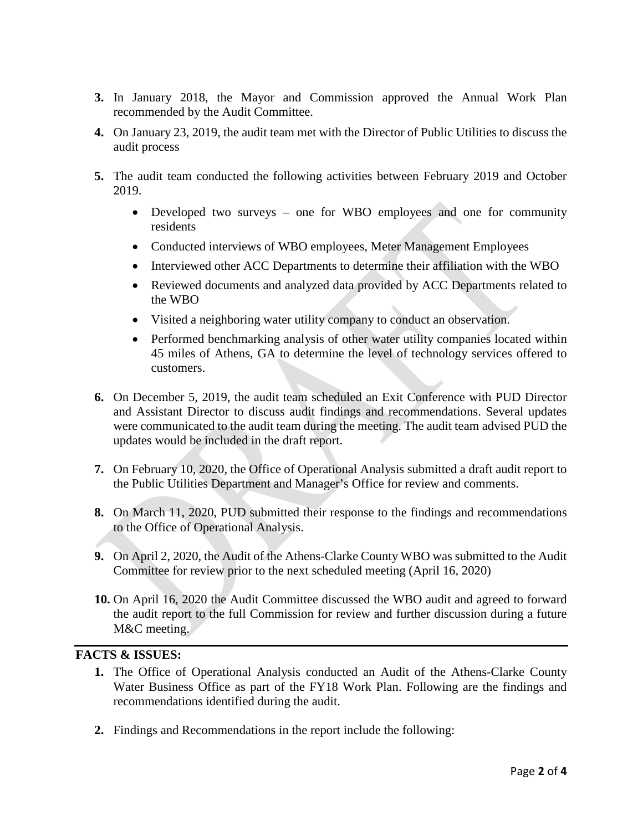- **3.** In January 2018, the Mayor and Commission approved the Annual Work Plan recommended by the Audit Committee.
- **4.** On January 23, 2019, the audit team met with the Director of Public Utilities to discuss the audit process
- **5.** The audit team conducted the following activities between February 2019 and October 2019.
	- Developed two surveys one for WBO employees and one for community residents
	- Conducted interviews of WBO employees, Meter Management Employees
	- Interviewed other ACC Departments to determine their affiliation with the WBO
	- Reviewed documents and analyzed data provided by ACC Departments related to the WBO
	- Visited a neighboring water utility company to conduct an observation.
	- Performed benchmarking analysis of other water utility companies located within 45 miles of Athens, GA to determine the level of technology services offered to customers.
- **6.** On December 5, 2019, the audit team scheduled an Exit Conference with PUD Director and Assistant Director to discuss audit findings and recommendations. Several updates were communicated to the audit team during the meeting. The audit team advised PUD the updates would be included in the draft report.
- **7.** On February 10, 2020, the Office of Operational Analysis submitted a draft audit report to the Public Utilities Department and Manager's Office for review and comments.
- **8.** On March 11, 2020, PUD submitted their response to the findings and recommendations to the Office of Operational Analysis.
- **9.** On April 2, 2020, the Audit of the Athens-Clarke County WBO was submitted to the Audit Committee for review prior to the next scheduled meeting (April 16, 2020)
- **10.** On April 16, 2020 the Audit Committee discussed the WBO audit and agreed to forward the audit report to the full Commission for review and further discussion during a future M&C meeting.

## **FACTS & ISSUES:**

- **1.** The Office of Operational Analysis conducted an Audit of the Athens-Clarke County Water Business Office as part of the FY18 Work Plan. Following are the findings and recommendations identified during the audit.
- **2.** Findings and Recommendations in the report include the following: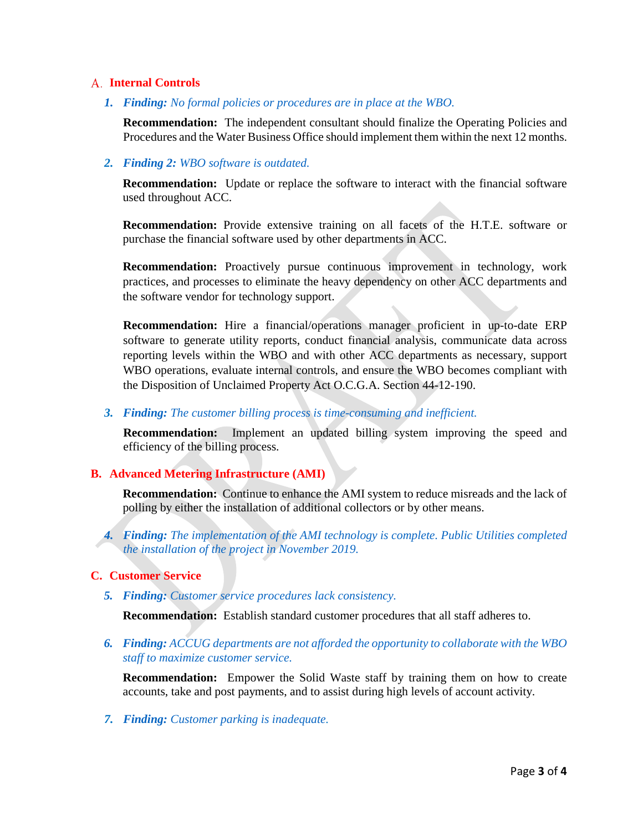#### **Internal Controls**

*1. Finding: No formal policies or procedures are in place at the WBO.*

**Recommendation:** The independent consultant should finalize the Operating Policies and Procedures and the Water Business Office should implement them within the next 12 months.

#### *2. Finding 2: WBO software is outdated.*

**Recommendation:** Update or replace the software to interact with the financial software used throughout ACC.

**Recommendation:** Provide extensive training on all facets of the H.T.E. software or purchase the financial software used by other departments in ACC.

**Recommendation:** Proactively pursue continuous improvement in technology, work practices, and processes to eliminate the heavy dependency on other ACC departments and the software vendor for technology support.

**Recommendation:** Hire a financial/operations manager proficient in up-to-date ERP software to generate utility reports, conduct financial analysis, communicate data across reporting levels within the WBO and with other ACC departments as necessary, support WBO operations, evaluate internal controls, and ensure the WBO becomes compliant with the Disposition of Unclaimed Property Act O.C.G.A. Section 44-12-190.

*3. Finding: The customer billing process is time-consuming and inefficient.*

**Recommendation:** Implement an updated billing system improving the speed and efficiency of the billing process.

## **B. Advanced Metering Infrastructure (AMI)**

**Recommendation:** Continue to enhance the AMI system to reduce misreads and the lack of polling by either the installation of additional collectors or by other means.

*4. Finding: The implementation of the AMI technology is complete. Public Utilities completed the installation of the project in November 2019.* 

#### **C. Customer Service**

*5. Finding: Customer service procedures lack consistency.*

**Recommendation:** Establish standard customer procedures that all staff adheres to.

*6. Finding: ACCUG departments are not afforded the opportunity to collaborate with the WBO staff to maximize customer service.*

**Recommendation:** Empower the Solid Waste staff by training them on how to create accounts, take and post payments, and to assist during high levels of account activity.

*7. Finding: Customer parking is inadequate.*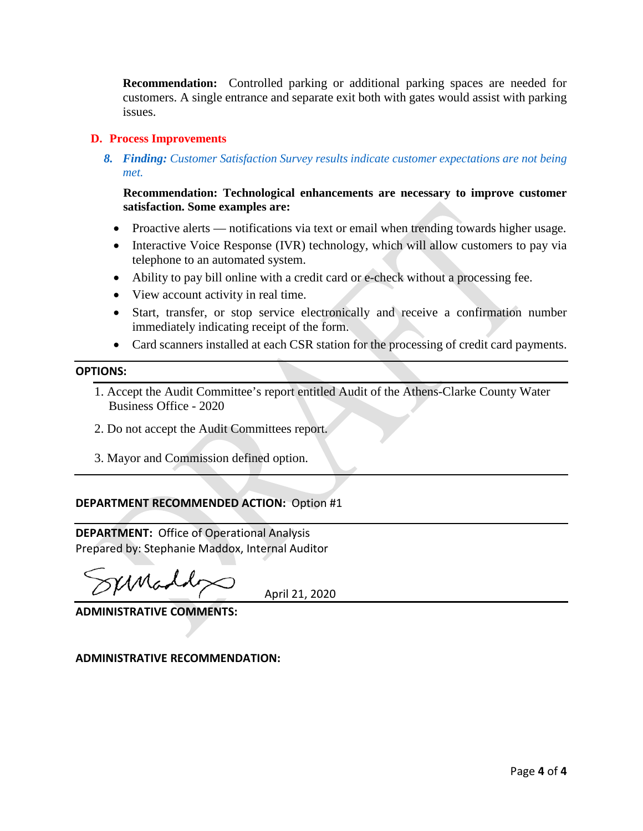**Recommendation:** Controlled parking or additional parking spaces are needed for customers. A single entrance and separate exit both with gates would assist with parking issues.

## **D. Process Improvements**

*8. Finding: Customer Satisfaction Survey results indicate customer expectations are not being met.*

**Recommendation: Technological enhancements are necessary to improve customer satisfaction. Some examples are:**

- Proactive alerts notifications via text or email when trending towards higher usage.
- Interactive Voice Response (IVR) technology, which will allow customers to pay via telephone to an automated system.
- Ability to pay bill online with a credit card or e-check without a processing fee.
- View account activity in real time.
- Start, transfer, or stop service electronically and receive a confirmation number immediately indicating receipt of the form.
- Card scanners installed at each CSR station for the processing of credit card payments.

#### **OPTIONS:**

- 1. Accept the Audit Committee's report entitled Audit of the Athens-Clarke County Water Business Office - 2020
- 2. Do not accept the Audit Committees report.
- 3. Mayor and Commission defined option.

## **DEPARTMENT RECOMMENDED ACTION:** Option #1

**DEPARTMENT:** Office of Operational Analysis Prepared by: Stephanie Maddox, Internal Auditor

sernado

April 21, 2020

**ADMINISTRATIVE COMMENTS:**

**ADMINISTRATIVE RECOMMENDATION:**